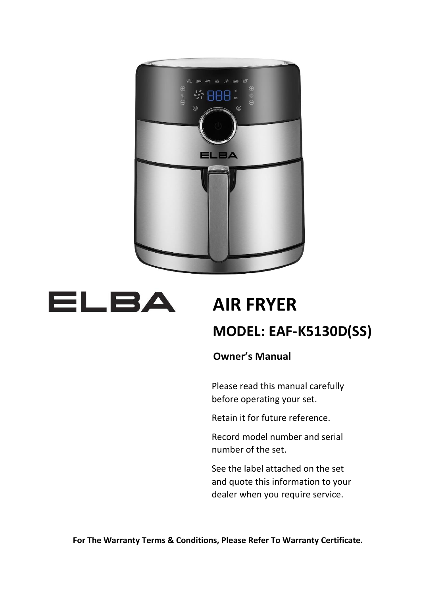



# **AIR FRYER**

## **MODEL: EAF-K5130D(SS)**

 **Owner's Manual**

Please read this manual carefully before operating your set.

Retain it for future reference.

Record model number and serial number of the set.

See the label attached on the set and quote this information to your dealer when you require service.

**For The Warranty Terms & Conditions, Please Refer To Warranty Certificate.**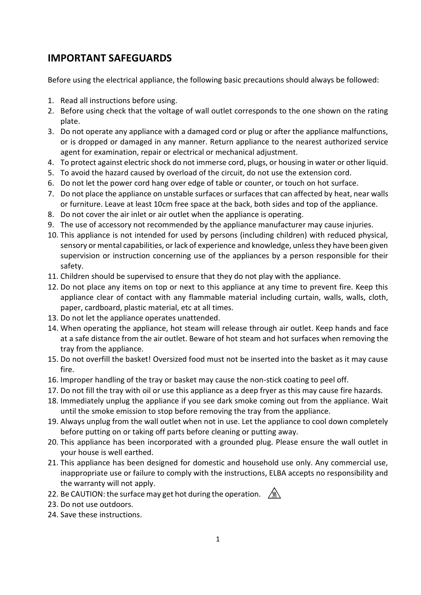### **IMPORTANT SAFEGUARDS**

Before using the electrical appliance, the following basic precautions should always be followed:

- 1. Read all instructions before using.
- 2. Before using check that the voltage of wall outlet corresponds to the one shown on the rating plate.
- 3. Do not operate any appliance with a damaged cord or plug or after the appliance malfunctions, or is dropped or damaged in any manner. Return appliance to the nearest authorized service agent for examination, repair or electrical or mechanical adjustment.
- 4. To protect against electric shock do not immerse cord, plugs, or housing in water or other liquid.
- 5. To avoid the hazard caused by overload of the circuit, do not use the extension cord.
- 6. Do not let the power cord hang over edge of table or counter, or touch on hot surface.
- 7. Do not place the appliance on unstable surfaces or surfaces that can affected by heat, near walls or furniture. Leave at least 10cm free space at the back, both sides and top of the appliance.
- 8. Do not cover the air inlet or air outlet when the appliance is operating.
- 9. The use of accessory not recommended by the appliance manufacturer may cause injuries.
- 10. This appliance is not intended for used by persons (including children) with reduced physical, sensory or mental capabilities, or lack of experience and knowledge, unless they have been given supervision or instruction concerning use of the appliances by a person responsible for their safety.
- 11. Children should be supervised to ensure that they do not play with the appliance.
- 12. Do not place any items on top or next to this appliance at any time to prevent fire. Keep this appliance clear of contact with any flammable material including curtain, walls, walls, cloth, paper, cardboard, plastic material, etc at all times.
- 13. Do not let the appliance operates unattended.
- 14. When operating the appliance, hot steam will release through air outlet. Keep hands and face at a safe distance from the air outlet. Beware of hot steam and hot surfaces when removing the tray from the appliance.
- 15. Do not overfill the basket! Oversized food must not be inserted into the basket as it may cause fire.
- 16. Improper handling of the tray or basket may cause the non-stick coating to peel off.
- 17. Do not fill the tray with oil or use this appliance as a deep fryer as this may cause fire hazards.
- 18. Immediately unplug the appliance if you see dark smoke coming out from the appliance. Wait until the smoke emission to stop before removing the tray from the appliance.
- 19. Always unplug from the wall outlet when not in use. Let the appliance to cool down completely before putting on or taking off parts before cleaning or putting away.
- 20. This appliance has been incorporated with a grounded plug. Please ensure the wall outlet in your house is well earthed.
- 21. This appliance has been designed for domestic and household use only. Any commercial use, inappropriate use or failure to comply with the instructions, ELBA accepts no responsibility and the warranty will not apply.
- 22. Be CAUTION: the surface may get hot during the operation.  $\sqrt{M}$
- 23. Do not use outdoors.
- 24. Save these instructions.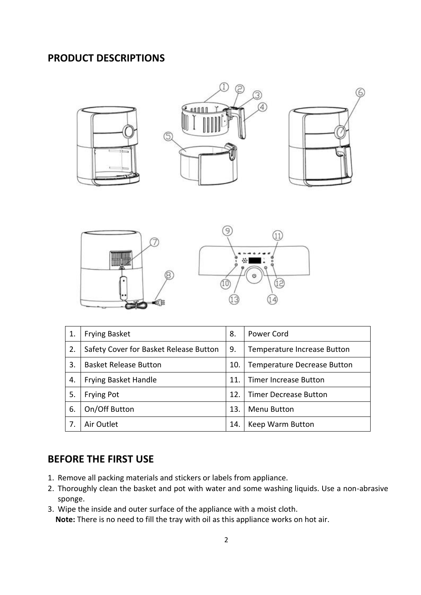### **PRODUCT DESCRIPTIONS**











| 1. | <b>Frying Basket</b>                   | 8.  | Power Cord                         |
|----|----------------------------------------|-----|------------------------------------|
| 2. | Safety Cover for Basket Release Button | 9.  | Temperature Increase Button        |
| 3. | <b>Basket Release Button</b>           | 10. | <b>Temperature Decrease Button</b> |
| 4. | <b>Frying Basket Handle</b>            | 11. | <b>Timer Increase Button</b>       |
| 5. | <b>Frying Pot</b>                      | 12. | <b>Timer Decrease Button</b>       |
| 6. | On/Off Button                          | 13. | Menu Button                        |
| 7. | Air Outlet                             | 14. | Keep Warm Button                   |

### **BEFORE THE FIRST USE**

- 1. Remove all packing materials and stickers or labels from appliance.
- 2. Thoroughly clean the basket and pot with water and some washing liquids. Use a non-abrasive sponge.
- 3. Wipe the inside and outer surface of the appliance with a moist cloth.  **Note:** There is no need to fill the tray with oil as this appliance works on hot air.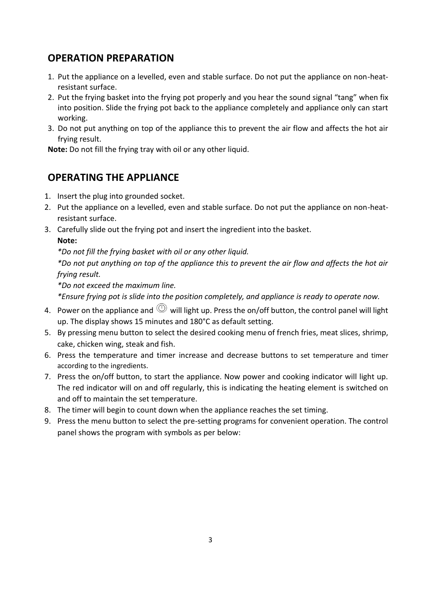### **OPERATION PREPARATION**

- 1. Put the appliance on a levelled, even and stable surface. Do not put the appliance on non-heatresistant surface.
- 2. Put the frying basket into the frying pot properly and you hear the sound signal "tang" when fix into position. Slide the frying pot back to the appliance completely and appliance only can start working.
- 3. Do not put anything on top of the appliance this to prevent the air flow and affects the hot air frying result.

**Note:** Do not fill the frying tray with oil or any other liquid.

### **OPERATING THE APPLIANCE**

- 1. Insert the plug into grounded socket.
- 2. Put the appliance on a levelled, even and stable surface. Do not put the appliance on non-heatresistant surface.
- 3. Carefully slide out the frying pot and insert the ingredient into the basket.

#### **Note:**

*\*Do not fill the frying basket with oil or any other liquid.* 

*\*Do not put anything on top of the appliance this to prevent the air flow and affects the hot air frying result.*

*\*Do not exceed the maximum line.* 

*\*Ensure frying pot is slide into the position completely, and appliance is ready to operate now.* 

- 4. Power on the appliance and  $\mathbb O$  will light up. Press the on/off button, the control panel will light up. The display shows 15 minutes and 180°C as default setting.
- 5. By pressing menu button to select the desired cooking menu of french fries, meat slices, shrimp, cake, chicken wing, steak and fish.
- 6. Press the temperature and timer increase and decrease buttons to set temperature and timer according to the ingredients.
- 7. Press the on/off button, to start the appliance. Now power and cooking indicator will light up. The red indicator will on and off regularly, this is indicating the heating element is switched on and off to maintain the set temperature.
- 8. The timer will begin to count down when the appliance reaches the set timing.
- 9. Press the menu button to select the pre-setting programs for convenient operation. The control panel shows the program with symbols as per below: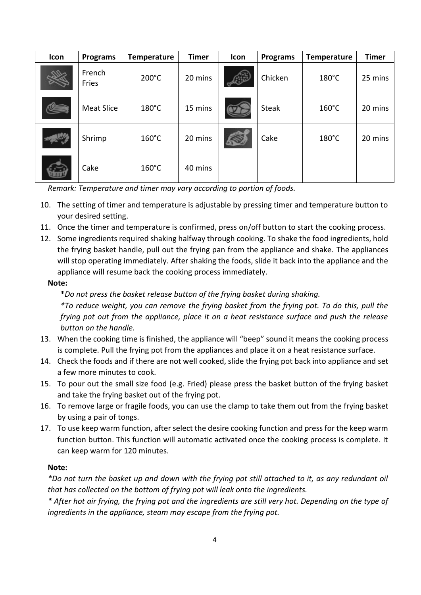| Icon | <b>Programs</b>   | <b>Temperature</b> | <b>Timer</b> | Icon | <b>Programs</b> | <b>Temperature</b> | <b>Timer</b> |
|------|-------------------|--------------------|--------------|------|-----------------|--------------------|--------------|
|      | French<br>Fries   | $200^{\circ}$ C    | 20 mins      |      | Chicken         | 180°C              | 25 mins      |
|      | <b>Meat Slice</b> | $180^{\circ}$ C    | 15 mins      |      | <b>Steak</b>    | $160^{\circ}$ C    | 20 mins      |
|      | Shrimp            | $160^{\circ}$ C    | 20 mins      |      | Cake            | $180^{\circ}$ C    | 20 mins      |
|      | Cake              | $160^{\circ}$ C    | 40 mins      |      |                 |                    |              |

*Remark: Temperature and timer may vary according to portion of foods.* 

- 10. The setting of timer and temperature is adjustable by pressing timer and temperature button to your desired setting.
- 11. Once the timer and temperature is confirmed, press on/off button to start the cooking process.
- 12. Some ingredients required shaking halfway through cooking. To shake the food ingredients, hold the frying basket handle, pull out the frying pan from the appliance and shake. The appliances will stop operating immediately. After shaking the foods, slide it back into the appliance and the appliance will resume back the cooking process immediately.

#### **Note:**

\**Do not press the basket release button of the frying basket during shaking.*

*\*To reduce weight, you can remove the frying basket from the frying pot. To do this, pull the frying pot out from the appliance, place it on a heat resistance surface and push the release button on the handle.*

- 13. When the cooking time is finished, the appliance will "beep" sound it means the cooking process is complete. Pull the frying pot from the appliances and place it on a heat resistance surface.
- 14. Check the foods and if there are not well cooked, slide the frying pot back into appliance and set a few more minutes to cook.
- 15. To pour out the small size food (e.g. Fried) please press the basket button of the frying basket and take the frying basket out of the frying pot.
- 16. To remove large or fragile foods, you can use the clamp to take them out from the frying basket by using a pair of tongs.
- 17. To use keep warm function, after select the desire cooking function and press for the keep warm function button. This function will automatic activated once the cooking process is complete. It can keep warm for 120 minutes.

#### **Note:**

*\*Do not turn the basket up and down with the frying pot still attached to it, as any redundant oil that has collected on the bottom of frying pot will leak onto the ingredients.*

*\* After hot air frying, the frying pot and the ingredients are still very hot. Depending on the type of ingredients in the appliance, steam may escape from the frying pot.*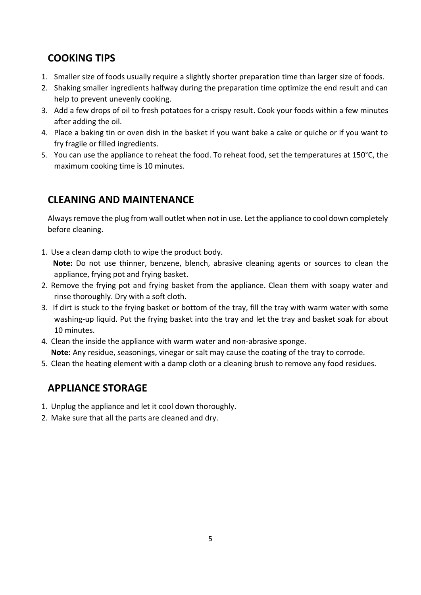### **COOKING TIPS**

- 1. Smaller size of foods usually require a slightly shorter preparation time than larger size of foods.
- 2. Shaking smaller ingredients halfway during the preparation time optimize the end result and can help to prevent unevenly cooking.
- 3. Add a few drops of oil to fresh potatoes for a crispy result. Cook your foods within a few minutes after adding the oil.
- 4. Place a baking tin or oven dish in the basket if you want bake a cake or quiche or if you want to fry fragile or filled ingredients.
- 5. You can use the appliance to reheat the food. To reheat food, set the temperatures at 150°C, the maximum cooking time is 10 minutes.

### **CLEANING AND MAINTENANCE**

Always remove the plug from wall outlet when not in use. Let the appliance to cool down completely before cleaning.

1. Use a clean damp cloth to wipe the product body.

 **Note:** Do not use thinner, benzene, blench, abrasive cleaning agents or sources to clean the appliance, frying pot and frying basket.

- 2. Remove the frying pot and frying basket from the appliance. Clean them with soapy water and rinse thoroughly. Dry with a soft cloth.
- 3. If dirt is stuck to the frying basket or bottom of the tray, fill the tray with warm water with some washing-up liquid. Put the frying basket into the tray and let the tray and basket soak for about 10 minutes.
- 4. Clean the inside the appliance with warm water and non-abrasive sponge.

**Note:** Any residue, seasonings, vinegar or salt may cause the coating of the tray to corrode.

5. Clean the heating element with a damp cloth or a cleaning brush to remove any food residues.

### **APPLIANCE STORAGE**

- 1. Unplug the appliance and let it cool down thoroughly.
- 2. Make sure that all the parts are cleaned and dry.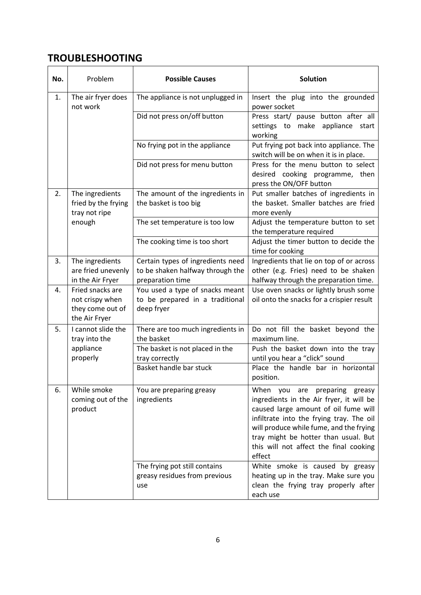### **TROUBLESHOOTING**

| No. | Problem                                                                  | <b>Possible Causes</b>                                                                    | <b>Solution</b>                                                                                                                                                                                                                                                                                      |  |
|-----|--------------------------------------------------------------------------|-------------------------------------------------------------------------------------------|------------------------------------------------------------------------------------------------------------------------------------------------------------------------------------------------------------------------------------------------------------------------------------------------------|--|
| 1.  | The air fryer does<br>not work                                           | The appliance is not unplugged in                                                         | Insert the plug into the grounded<br>power socket                                                                                                                                                                                                                                                    |  |
|     |                                                                          | Did not press on/off button                                                               | Press start/ pause button after all<br>appliance start<br>settings to make<br>working                                                                                                                                                                                                                |  |
|     |                                                                          | No frying pot in the appliance                                                            | Put frying pot back into appliance. The<br>switch will be on when it is in place.                                                                                                                                                                                                                    |  |
|     |                                                                          | Did not press for menu button                                                             | Press for the menu button to select<br>desired cooking programme, then<br>press the ON/OFF button                                                                                                                                                                                                    |  |
| 2.  | The ingredients<br>fried by the frying<br>tray not ripe<br>enough        | The amount of the ingredients in<br>the basket is too big                                 | Put smaller batches of ingredients in<br>the basket. Smaller batches are fried<br>more evenly                                                                                                                                                                                                        |  |
|     |                                                                          | The set temperature is too low                                                            | Adjust the temperature button to set<br>the temperature required                                                                                                                                                                                                                                     |  |
|     |                                                                          | The cooking time is too short                                                             | Adjust the timer button to decide the<br>time for cooking                                                                                                                                                                                                                                            |  |
| 3.  | The ingredients<br>are fried unevenly<br>in the Air Fryer                | Certain types of ingredients need<br>to be shaken halfway through the<br>preparation time | Ingredients that lie on top of or across<br>other (e.g. Fries) need to be shaken<br>halfway through the preparation time.                                                                                                                                                                            |  |
| 4.  | Fried snacks are<br>not crispy when<br>they come out of<br>the Air Fryer | You used a type of snacks meant<br>to be prepared in a traditional<br>deep fryer          | Use oven snacks or lightly brush some<br>oil onto the snacks for a crispier result                                                                                                                                                                                                                   |  |
| 5.  | I cannot slide the<br>tray into the                                      | There are too much ingredients in<br>the basket                                           | Do not fill the basket beyond the<br>maximum line.                                                                                                                                                                                                                                                   |  |
|     | appliance<br>properly                                                    | The basket is not placed in the<br>tray correctly                                         | Push the basket down into the tray<br>until you hear a "click" sound                                                                                                                                                                                                                                 |  |
|     |                                                                          | Basket handle bar stuck                                                                   | Place the handle bar in horizontal<br>position.                                                                                                                                                                                                                                                      |  |
| 6.  | While smoke<br>coming out of the<br>product                              | You are preparing greasy<br>ingredients                                                   | When you are preparing greasy<br>ingredients in the Air fryer, it will be<br>caused large amount of oil fume will<br>infiltrate into the frying tray. The oil<br>will produce while fume, and the frying<br>tray might be hotter than usual. But<br>this will not affect the final cooking<br>effect |  |
|     |                                                                          | The frying pot still contains<br>greasy residues from previous<br>use                     | White smoke is caused by greasy<br>heating up in the tray. Make sure you<br>clean the frying tray properly after<br>each use                                                                                                                                                                         |  |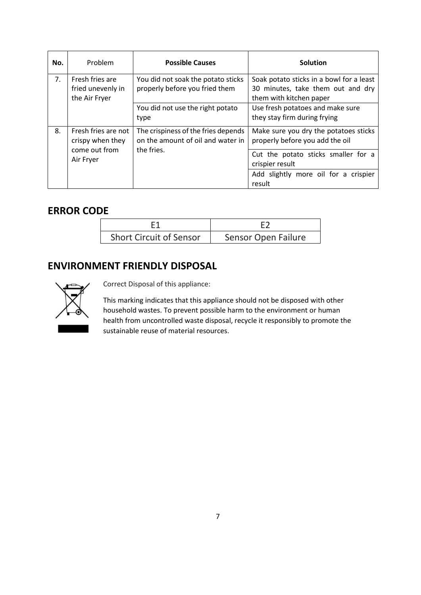| No. | Problem                                                               | <b>Possible Causes</b>                                                                 | <b>Solution</b>                                                                                          |
|-----|-----------------------------------------------------------------------|----------------------------------------------------------------------------------------|----------------------------------------------------------------------------------------------------------|
| 7.  | Fresh fries are<br>fried unevenly in<br>the Air Fryer                 | You did not soak the potato sticks<br>properly before you fried them                   | Soak potato sticks in a bowl for a least<br>30 minutes, take them out and dry<br>them with kitchen paper |
|     |                                                                       | You did not use the right potato<br>type                                               | Use fresh potatoes and make sure<br>they stay firm during frying                                         |
| 8.  | Fresh fries are not<br>crispy when they<br>come out from<br>Air Fryer | The crispiness of the fries depends<br>on the amount of oil and water in<br>the fries. | Make sure you dry the potatoes sticks<br>properly before you add the oil                                 |
|     |                                                                       |                                                                                        | Cut the potato sticks smaller for a<br>crispier result                                                   |
|     |                                                                       |                                                                                        | Add slightly more oil for a crispier<br>result                                                           |

### **ERROR CODE**

| <b>Short Circuit of Sensor</b> | Sensor Open Failure |
|--------------------------------|---------------------|

### **ENVIRONMENT FRIENDLY DISPOSAL**



Correct Disposal of this appliance:

This marking indicates that this appliance should not be disposed with other household wastes. To prevent possible harm to the environment or human health from uncontrolled waste disposal, recycle it responsibly to promote the sustainable reuse of material resources.